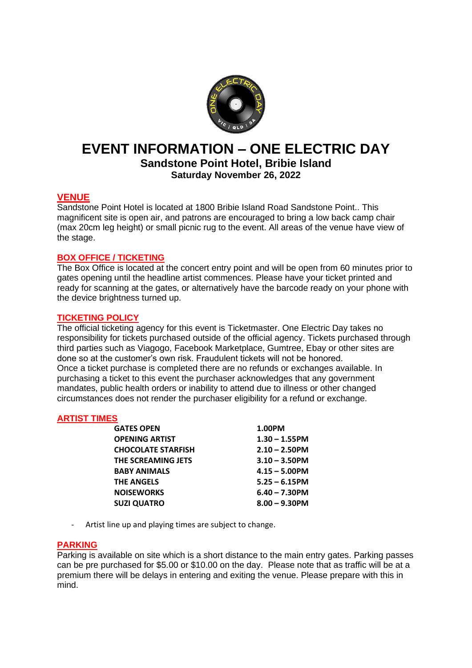

# **EVENT INFORMATION – ONE ELECTRIC DAY Sandstone Point Hotel, Bribie Island**

**Saturday November 26, 2022**

# **VENUE**

Sandstone Point Hotel is located at 1800 Bribie Island Road Sandstone Point.. This magnificent site is open air, and patrons are encouraged to bring a low back camp chair (max 20cm leg height) or small picnic rug to the event. All areas of the venue have view of the stage.

# **BOX OFFICE / TICKETING**

The Box Office is located at the concert entry point and will be open from 60 minutes prior to gates opening until the headline artist commences. Please have your ticket printed and ready for scanning at the gates, or alternatively have the barcode ready on your phone with the device brightness turned up.

# **TICKETING POLICY**

The official ticketing agency for this event is Ticketmaster. One Electric Day takes no responsibility for tickets purchased outside of the official agency. Tickets purchased through third parties such as Viagogo, Facebook Marketplace, Gumtree, Ebay or other sites are done so at the customer's own risk. Fraudulent tickets will not be honored. Once a ticket purchase is completed there are no refunds or exchanges available. In purchasing a ticket to this event the purchaser acknowledges that any government mandates, public health orders or inability to attend due to illness or other changed circumstances does not render the purchaser eligibility for a refund or exchange.

# **ARTIST TIMES**

| <b>GATES OPEN</b>         | 1.00PM           |
|---------------------------|------------------|
| <b>OPENING ARTIST</b>     | $1.30 - 1.55$ PM |
| <b>CHOCOLATE STARFISH</b> | $2.10 - 2.50$ PM |
| THE SCREAMING JETS        | $3.10 - 3.50$ PM |
| <b>BABY ANIMALS</b>       | $4.15 - 5.00$ PM |
| <b>THE ANGELS</b>         | $5.25 - 6.15$ PM |
| <b>NOISEWORKS</b>         | $6.40 - 7.30$ PM |
| <b>SUZI QUATRO</b>        | $8.00 - 9.30$ PM |

- Artist line up and playing times are subject to change.

# **PARKING**

Parking is available on site which is a short distance to the main entry gates. Parking passes can be pre purchased for \$5.00 or \$10.00 on the day. Please note that as traffic will be at a premium there will be delays in entering and exiting the venue. Please prepare with this in mind.